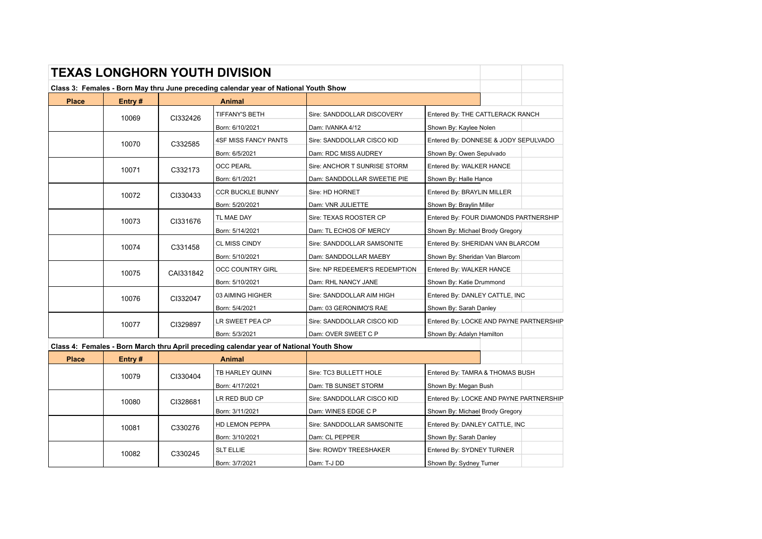|              |        |           | <b>TEXAS LONGHORN YOUTH DIVISION</b>                                                    |                                |                                         |  |  |
|--------------|--------|-----------|-----------------------------------------------------------------------------------------|--------------------------------|-----------------------------------------|--|--|
|              |        |           | Class 3: Females - Born May thru June preceding calendar year of National Youth Show    |                                |                                         |  |  |
| <b>Place</b> | Entry# |           | Animal                                                                                  |                                |                                         |  |  |
|              | 10069  | CI332426  | <b>TIFFANY'S BETH</b>                                                                   | Sire: SANDDOLLAR DISCOVERY     | Entered By: THE CATTLERACK RANCH        |  |  |
|              |        |           | Born: 6/10/2021                                                                         | Dam: IVANKA 4/12               | Shown By: Kaylee Nolen                  |  |  |
|              | 10070  | C332585   | <b>4SF MISS FANCY PANTS</b>                                                             | Sire: SANDDOLLAR CISCO KID     | Entered By: DONNESE & JODY SEPULVADO    |  |  |
|              |        |           | Born: 6/5/2021                                                                          | Dam: RDC MISS AUDREY           | Shown By: Owen Sepulvado                |  |  |
|              | 10071  | C332173   | <b>OCC PEARL</b>                                                                        | Sire: ANCHOR T SUNRISE STORM   | Entered By: WALKER HANCE                |  |  |
|              |        |           | Born: 6/1/2021                                                                          | Dam: SANDDOLLAR SWEETIE PIE    | Shown By: Halle Hance                   |  |  |
|              | 10072  | CI330433  | <b>CCR BUCKLE BUNNY</b>                                                                 | Sire: HD HORNET                | Entered By: BRAYLIN MILLER              |  |  |
|              |        |           | Born: 5/20/2021                                                                         | Dam: VNR JULIETTE              | Shown By: Braylin Miller                |  |  |
|              | 10073  | CI331676  | TL MAE DAY                                                                              | Sire: TEXAS ROOSTER CP         | Entered By: FOUR DIAMONDS PARTNERSHIP   |  |  |
|              |        |           | Born: 5/14/2021                                                                         | Dam: TL ECHOS OF MERCY         | Shown By: Michael Brody Gregory         |  |  |
|              | 10074  | C331458   | <b>CL MISS CINDY</b>                                                                    | Sire: SANDDOLLAR SAMSONITE     | Entered By: SHERIDAN VAN BLARCOM        |  |  |
|              |        |           | Born: 5/10/2021                                                                         | Dam: SANDDOLLAR MAEBY          | Shown By: Sheridan Van Blarcom          |  |  |
|              | 10075  | CAI331842 | <b>OCC COUNTRY GIRL</b>                                                                 | Sire: NP REDEEMER'S REDEMPTION | Entered By: WALKER HANCE                |  |  |
|              |        |           | Born: 5/10/2021                                                                         | Dam: RHL NANCY JANE            | Shown By: Katie Drummond                |  |  |
|              | 10076  | CI332047  | 03 AIMING HIGHER                                                                        | Sire: SANDDOLLAR AIM HIGH      | Entered By: DANLEY CATTLE, INC          |  |  |
|              |        |           | Born: 5/4/2021                                                                          | Dam: 03 GERONIMO'S RAE         | Shown By: Sarah Danley                  |  |  |
|              | 10077  | CI329897  | LR SWEET PEA CP                                                                         | Sire: SANDDOLLAR CISCO KID     | Entered By: LOCKE AND PAYNE PARTNERSHIP |  |  |
|              |        |           | Born: 5/3/2021                                                                          | Dam: OVER SWEET C P            | Shown By: Adalyn Hamilton               |  |  |
|              |        |           | Class 4: Females - Born March thru April preceding calendar year of National Youth Show |                                |                                         |  |  |
| <b>Place</b> | Entry# |           | Animal                                                                                  |                                |                                         |  |  |
|              | 10079  | CI330404  | TB HARLEY QUINN                                                                         | Sire: TC3 BULLETT HOLE         | Entered By: TAMRA & THOMAS BUSH         |  |  |
|              |        |           | Born: 4/17/2021                                                                         | Dam: TB SUNSET STORM           | Shown By: Megan Bush                    |  |  |
|              | 10080  | CI328681  | LR RED BUD CP                                                                           | Sire: SANDDOLLAR CISCO KID     | Entered By: LOCKE AND PAYNE PARTNERSHIP |  |  |
|              |        |           | Born: 3/11/2021                                                                         | Dam: WINES EDGE C P            | Shown By: Michael Brody Gregory         |  |  |
|              | 10081  | C330276   | HD LEMON PEPPA                                                                          | Sire: SANDDOLLAR SAMSONITE     | Entered By: DANLEY CATTLE, INC          |  |  |
|              |        |           | Born: 3/10/2021                                                                         | Dam: CL PEPPER                 | Shown By: Sarah Danley                  |  |  |
|              | 10082  | C330245   | <b>SLT ELLIE</b>                                                                        | Sire: ROWDY TREESHAKER         | Entered By: SYDNEY TURNER               |  |  |
|              |        |           | Born: 3/7/2021                                                                          | Dam: T-J DD                    | Shown By: Sydney Turner                 |  |  |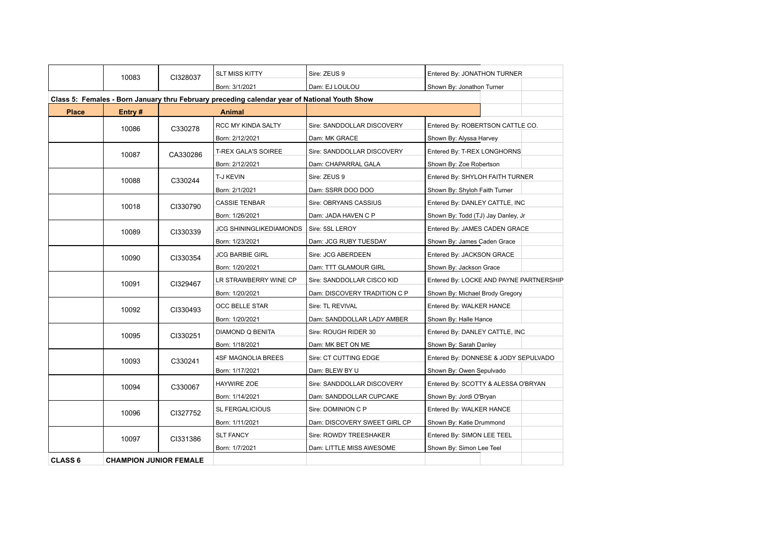|                | 10083                         | CI328037               | <b>SLT MISS KITTY</b>                                                                        | Sire: ZEUS 9                 | Entered By: JONATHON TURNER             |
|----------------|-------------------------------|------------------------|----------------------------------------------------------------------------------------------|------------------------------|-----------------------------------------|
|                |                               |                        | Born: 3/1/2021                                                                               | Dam: EJ LOULOU               | Shown By: Jonathon Turner               |
|                |                               |                        | Class 5: Females - Born January thru February preceding calendar year of National Youth Show |                              |                                         |
| <b>Place</b>   | Entry#                        |                        | Animal                                                                                       |                              |                                         |
|                | 10086                         | C330278                | RCC MY KINDA SALTY                                                                           | Sire: SANDDOLLAR DISCOVERY   | Entered By: ROBERTSON CATTLE CO.        |
|                |                               |                        | Born: 2/12/2021                                                                              | Dam: MK GRACE                | Shown By: Alyssa Harvey                 |
|                | 10087                         | CA330286               | <b>T-REX GALA'S SOIREE</b>                                                                   | Sire: SANDDOLLAR DISCOVERY   | Entered By: T-REX LONGHORNS             |
|                |                               |                        | Born: 2/12/2021                                                                              | Dam: CHAPARRAL GALA          | Shown By: Zoe Robertson                 |
|                | 10088                         | C330244                | T-J KEVIN                                                                                    | Sire: ZEUS 9                 | Entered By: SHYLOH FAITH TURNER         |
|                |                               |                        | Born: 2/1/2021                                                                               | Dam: SSRR DOO DOO            | Shown By: Shyloh Faith Turner           |
|                | 10018                         | CI330790               | <b>CASSIE TENBAR</b>                                                                         | Sire: OBRYANS CASSIUS        | Entered By: DANLEY CATTLE, INC          |
|                |                               |                        | Born: 1/26/2021                                                                              | Dam: JADA HAVEN C P          | Shown By: Todd (TJ) Jay Danley, Jr      |
|                | 10089                         | CI330339               | <b>JCG SHININGLIKEDIAMONDS</b>                                                               | Sire: 5SL LEROY              | Entered By: JAMES CADEN GRACE           |
|                |                               |                        | Born: 1/23/2021                                                                              | Dam: JCG RUBY TUESDAY        | Shown By: James Caden Grace             |
|                | 10090                         | CI330354               | <b>JCG BARBIE GIRL</b>                                                                       | Sire: JCG ABERDEEN           | Entered By: JACKSON GRACE               |
|                |                               |                        | Born: 1/20/2021                                                                              | Dam: TTT GLAMOUR GIRL        | Shown By: Jackson Grace                 |
|                | 10091                         | CI329467               | LR STRAWBERRY WINE CP                                                                        | Sire: SANDDOLLAR CISCO KID   | Entered By: LOCKE AND PAYNE PARTNERSHIP |
|                |                               |                        | Born: 1/20/2021                                                                              | Dam: DISCOVERY TRADITION C P | Shown By: Michael Brody Gregory         |
|                | 10092                         | CI330493               | OCC BELLE STAR                                                                               | Sire: TL REVIVAL             | Entered By: WALKER HANCE                |
|                |                               |                        | Born: 1/20/2021                                                                              | Dam: SANDDOLLAR LADY AMBER   | Shown By: Halle Hance                   |
|                | 10095                         | CI330251               | DIAMOND Q BENITA                                                                             | Sire: ROUGH RIDER 30         | Entered By: DANLEY CATTLE, INC          |
|                |                               |                        | Born: 1/18/2021                                                                              | Dam: MK BET ON ME            | Shown By: Sarah Danley                  |
|                | 10093                         | C330241                | <b>4SF MAGNOLIA BREES</b>                                                                    | Sire: CT CUTTING EDGE        | Entered By: DONNESE & JODY SEPULVADO    |
|                |                               |                        | Born: 1/17/2021                                                                              | Dam: BLEW BY U               | Shown By: Owen Sepulvado                |
|                | 10094                         | C330067                | <b>HAYWIRE ZOE</b>                                                                           | Sire: SANDDOLLAR DISCOVERY   | Entered By: SCOTTY & ALESSA O'BRYAN     |
|                |                               |                        | Born: 1/14/2021                                                                              | Dam: SANDDOLLAR CUPCAKE      | Shown By: Jordi O'Bryan                 |
|                | CI327752<br>10096             | <b>SL FERGALICIOUS</b> | Sire: DOMINION C P                                                                           | Entered By: WALKER HANCE     |                                         |
|                |                               |                        | Born: 1/11/2021                                                                              | Dam: DISCOVERY SWEET GIRL CP | Shown By: Katie Drummond                |
|                | 10097                         | CI331386               | <b>SLT FANCY</b>                                                                             | Sire: ROWDY TREESHAKER       | Entered By: SIMON LEE TEEL              |
|                |                               |                        | Born: 1/7/2021                                                                               | Dam: LITTLE MISS AWESOME     | Shown By: Simon Lee Teel                |
| <b>CLASS 6</b> | <b>CHAMPION JUNIOR FEMALE</b> |                        |                                                                                              |                              |                                         |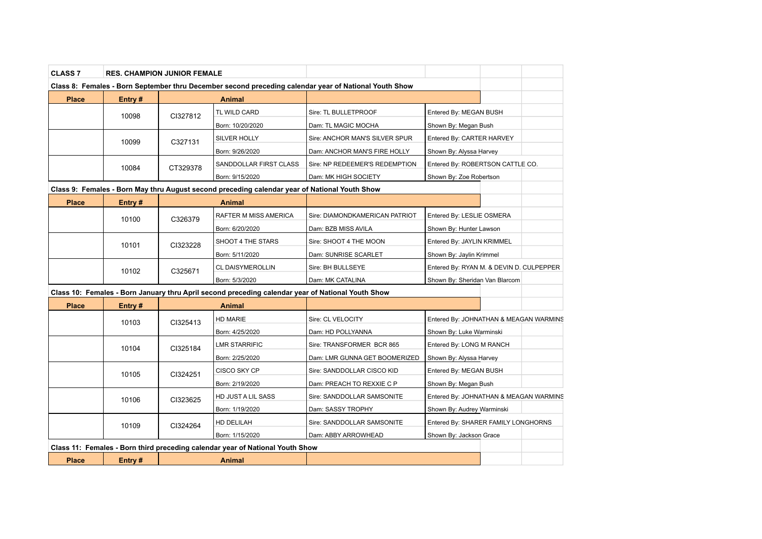| <b>CLASS 7</b> | <b>RES. CHAMPION JUNIOR FEMALE</b> |          |                                                                                                   |                                                                                                       |                                                                            |                                        |
|----------------|------------------------------------|----------|---------------------------------------------------------------------------------------------------|-------------------------------------------------------------------------------------------------------|----------------------------------------------------------------------------|----------------------------------------|
|                |                                    |          |                                                                                                   | Class 8: Females - Born September thru December second preceding calendar year of National Youth Show |                                                                            |                                        |
| <b>Place</b>   | Entry#                             |          | Animal                                                                                            |                                                                                                       |                                                                            |                                        |
|                | 10098                              | CI327812 | TL WILD CARD                                                                                      | Sire: TL BULLETPROOF                                                                                  | Entered By: MEGAN BUSH                                                     |                                        |
|                |                                    |          | Born: 10/20/2020                                                                                  | Dam: TL MAGIC MOCHA                                                                                   | Shown By: Megan Bush                                                       |                                        |
|                | 10099                              | C327131  | SILVER HOLLY                                                                                      | Sire: ANCHOR MAN'S SILVER SPUR                                                                        | Entered By: CARTER HARVEY                                                  |                                        |
|                |                                    |          | Born: 9/26/2020                                                                                   | Dam: ANCHOR MAN'S FIRE HOLLY                                                                          | Shown By: Alyssa Harvey                                                    |                                        |
|                | 10084                              | CT329378 | SANDDOLLAR FIRST CLASS                                                                            | Sire: NP REDEEMER'S REDEMPTION                                                                        |                                                                            | Entered By: ROBERTSON CATTLE CO.       |
|                |                                    |          | Born: 9/15/2020                                                                                   | Dam: MK HIGH SOCIETY                                                                                  | Shown By: Zoe Robertson                                                    |                                        |
|                |                                    |          | Class 9: Females - Born May thru August second preceding calendar year of National Youth Show     |                                                                                                       |                                                                            |                                        |
| <b>Place</b>   | Entry#                             |          | Animal                                                                                            |                                                                                                       |                                                                            |                                        |
|                | 10100                              | C326379  | RAFTER M MISS AMERICA                                                                             | Sire: DIAMONDKAMERICAN PATRIOT                                                                        | Entered By: LESLIE OSMERA                                                  |                                        |
|                |                                    |          | Born: 6/20/2020                                                                                   | Dam: BZB MISS AVILA                                                                                   | Shown By: Hunter Lawson                                                    |                                        |
|                | 10101                              | CI323228 | SHOOT 4 THE STARS                                                                                 | Sire: SHOOT 4 THE MOON                                                                                | Entered By: JAYLIN KRIMMEL                                                 |                                        |
|                |                                    |          | Born: 5/11/2020                                                                                   | Dam: SUNRISE SCARLET                                                                                  | Shown By: Jaylin Krimmel                                                   |                                        |
|                | 10102                              | C325671  | <b>CL DAISYMEROLLIN</b>                                                                           | Sire: BH BULLSEYE                                                                                     | Entered By: RYAN M. & DEVIN D. CULPEPPER<br>Shown By: Sheridan Van Blarcom |                                        |
|                |                                    |          | Born: 5/3/2020                                                                                    | Dam: MK CATALINA                                                                                      |                                                                            |                                        |
|                |                                    |          | Class 10: Females - Born January thru April second preceding calendar year of National Youth Show |                                                                                                       |                                                                            |                                        |
| <b>Place</b>   | Entry#                             |          | <b>Animal</b>                                                                                     |                                                                                                       |                                                                            |                                        |
|                | 10103                              | CI325413 | HD MARIE                                                                                          | Sire: CL VELOCITY                                                                                     |                                                                            | Entered By: JOHNATHAN & MEAGAN WARMINS |
|                |                                    |          | Born: 4/25/2020                                                                                   | Dam: HD POLLYANNA                                                                                     | Shown By: Luke Warminski                                                   |                                        |
|                | 10104                              | CI325184 | <b>LMR STARRIFIC</b>                                                                              | Sire: TRANSFORMER BCR 865                                                                             | Entered By: LONG M RANCH                                                   |                                        |
|                |                                    |          | Born: 2/25/2020                                                                                   | Dam: LMR GUNNA GET BOOMERIZED                                                                         | Shown By: Alyssa Harvey                                                    |                                        |
|                | 10105                              | CI324251 | CISCO SKY CP                                                                                      | Sire: SANDDOLLAR CISCO KID                                                                            | Entered By: MEGAN BUSH                                                     |                                        |
|                |                                    |          | Born: 2/19/2020                                                                                   | Dam: PREACH TO REXXIE C P                                                                             | Shown By: Megan Bush                                                       |                                        |
|                | 10106                              | CI323625 | HD JUST A LIL SASS                                                                                | Sire: SANDDOLLAR SAMSONITE                                                                            | Entered By: JOHNATHAN & MEAGAN WARMINS                                     |                                        |
|                |                                    |          | Born: 1/19/2020                                                                                   | Dam: SASSY TROPHY                                                                                     | Shown By: Audrey Warminski                                                 |                                        |
|                | 10109                              | CI324264 | HD DELILAH                                                                                        | Sire: SANDDOLLAR SAMSONITE                                                                            |                                                                            | Entered By: SHARER FAMILY LONGHORNS    |
|                |                                    |          | Born: 1/15/2020                                                                                   | Dam: ABBY ARROWHEAD                                                                                   | Shown By: Jackson Grace                                                    |                                        |
|                |                                    |          | Class 11: Females - Born third preceding calendar year of National Youth Show                     |                                                                                                       |                                                                            |                                        |
| <b>Place</b>   | Entry#                             |          | Animal                                                                                            |                                                                                                       |                                                                            |                                        |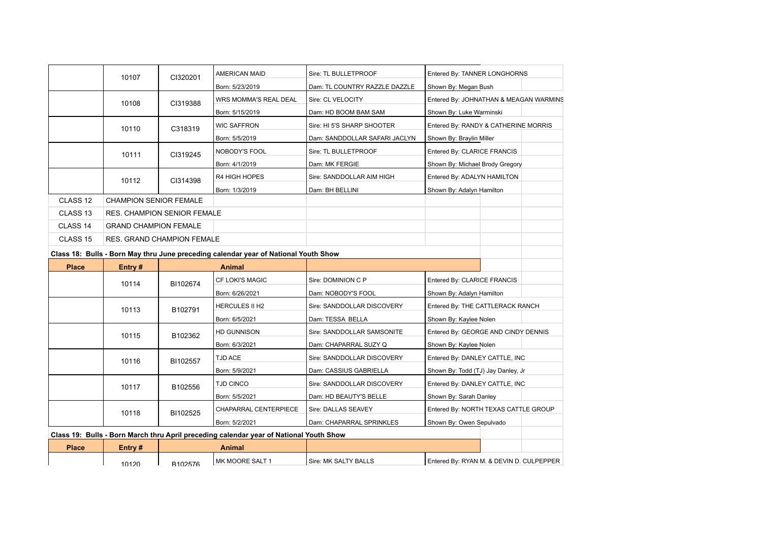|                     | 10107                              | CI320201 | <b>AMERICAN MAID</b>         | Sire: TL BULLETPROOF          | Entered By: TANNER LONGHORNS           |  |
|---------------------|------------------------------------|----------|------------------------------|-------------------------------|----------------------------------------|--|
|                     |                                    |          | Born: 5/23/2019              | Dam: TL COUNTRY RAZZLE DAZZLE | Shown By: Megan Bush                   |  |
|                     | 10108                              | CI319388 | <b>WRS MOMMA'S REAL DEAL</b> | Sire: CL VELOCITY             | Entered By: JOHNATHAN & MEAGAN WARMINS |  |
|                     |                                    |          | Born: 5/15/2019              | Dam: HD BOOM BAM SAM          | Shown By: Luke Warminski               |  |
|                     | 10110                              | C318319  | <b>WIC SAFFRON</b>           | Sire: HI 5'S SHARP SHOOTER    | Entered By: RANDY & CATHERINE MORRIS   |  |
|                     |                                    |          | Born: 5/5/2019               | Dam: SANDDOLLAR SAFARI JACLYN | Shown By: Braylin Miller               |  |
|                     | 10111                              | CI319245 | <b>NOBODY'S FOOL</b>         | Sire: TL BULLETPROOF          | Entered By: CLARICE FRANCIS            |  |
|                     |                                    |          | Born: 4/1/2019               | Dam: MK FERGIE                | Shown By: Michael Brody Gregory        |  |
|                     | 10112                              | CI314398 | <b>R4 HIGH HOPES</b>         | Sire: SANDDOLLAR AIM HIGH     | Entered By: ADALYN HAMILTON            |  |
|                     |                                    |          | Born: 1/3/2019               | Dam: BH BELLINI               | Shown By: Adalyn Hamilton              |  |
| CLASS <sub>12</sub> | <b>CHAMPION SENIOR FEMALE</b>      |          |                              |                               |                                        |  |
| CLASS <sub>13</sub> | <b>RES. CHAMPION SENIOR FEMALE</b> |          |                              |                               |                                        |  |
| CLASS 14            | <b>GRAND CHAMPION FEMALE</b>       |          |                              |                               |                                        |  |
| CLASS <sub>15</sub> | <b>RES. GRAND CHAMPION FEMALE</b>  |          |                              |                               |                                        |  |

## **Class 18: Bulls - Born May thru June preceding calendar year of National Youth Show**

| <b>Place</b> | Entry#                                                                                 |                     | Animal                     |                                |                                          |  |
|--------------|----------------------------------------------------------------------------------------|---------------------|----------------------------|--------------------------------|------------------------------------------|--|
|              | 10114                                                                                  | BI102674            | <b>CF LOKI'S MAGIC</b>     | Sire: DOMINION C P             | Entered By: CLARICE FRANCIS              |  |
|              |                                                                                        |                     | Born: 6/26/2021            | Dam: NOBODY'S FOOL             | Shown By: Adalyn Hamilton                |  |
|              |                                                                                        | 10113<br>B102791    | <b>HERCULES II H2</b>      | Sire: SANDDOLLAR DISCOVERY     | Entered By: THE CATTLERACK RANCH         |  |
|              |                                                                                        |                     | Born: 6/5/2021             | Dam: TESSA BELLA               | Shown By: Kaylee Nolen                   |  |
|              | B102362<br>10115                                                                       |                     | <b>HD GUNNISON</b>         | Sire: SANDDOLLAR SAMSONITE     | Entered By: GEORGE AND CINDY DENNIS      |  |
|              |                                                                                        |                     | Born: 6/3/2021             | Dam: CHAPARRAL SUZY Q          | Shown By: Kaylee Nolen                   |  |
|              | 10116                                                                                  | BI102557            | <b>TJD ACE</b>             | Sire: SANDDOLLAR DISCOVERY     | Entered By: DANLEY CATTLE, INC           |  |
|              |                                                                                        |                     | Born: 5/9/2021             | Dam: CASSIUS GABRIELLA         | Shown By: Todd (TJ) Jay Danley, Jr       |  |
|              | 10117                                                                                  | TJD CINCO           | Sire: SANDDOLLAR DISCOVERY | Entered By: DANLEY CATTLE, INC |                                          |  |
|              |                                                                                        | B102556             | Born: 5/5/2021             | Dam: HD BEAUTY'S BELLE         | Shown By: Sarah Danley                   |  |
|              | 10118                                                                                  | BI102525            | CHAPARRAL CENTERPIECE      | Sire: DALLAS SEAVEY            | Entered By: NORTH TEXAS CATTLE GROUP     |  |
|              |                                                                                        |                     | Born: 5/2/2021             | Dam: CHAPARRAL SPRINKLES       | Shown By: Owen Sepulvado                 |  |
|              | Class 19: Bulls - Born March thru April preceding calendar year of National Youth Show |                     |                            |                                |                                          |  |
| <b>Place</b> | Entry #                                                                                |                     | Animal                     |                                |                                          |  |
|              | 10120                                                                                  | R <sub>102576</sub> | MK MOORE SALT 1            | Sire: MK SALTY BALLS           | Entered By: RYAN M. & DEVIN D. CULPEPPER |  |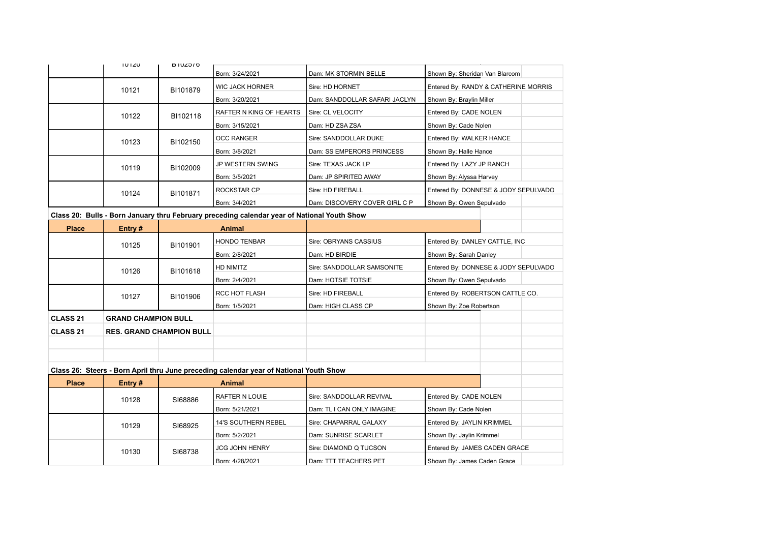|                 | TUTZU                      |                                 |                                                                                             |                               |                                      |                             |  |
|-----------------|----------------------------|---------------------------------|---------------------------------------------------------------------------------------------|-------------------------------|--------------------------------------|-----------------------------|--|
|                 |                            | <b>DIUZDIO</b>                  | Born: 3/24/2021                                                                             | Dam: MK STORMIN BELLE         | Shown By: Sheridan Van Blarcom       |                             |  |
|                 | 10121                      | BI101879                        | <b>WIC JACK HORNER</b>                                                                      | Sire: HD HORNET               | Entered By: RANDY & CATHERINE MORRIS |                             |  |
|                 |                            |                                 | Born: 3/20/2021                                                                             | Dam: SANDDOLLAR SAFARI JACLYN | Shown By: Braylin Miller             |                             |  |
|                 | 10122                      | BI102118                        | RAFTER N KING OF HEARTS                                                                     | Sire: CL VELOCITY             | Entered By: CADE NOLEN               |                             |  |
|                 |                            |                                 | Born: 3/15/2021                                                                             | Dam: HD ZSA ZSA               | Shown By: Cade Nolen                 |                             |  |
|                 | 10123                      | BI102150                        | <b>OCC RANGER</b>                                                                           | Sire: SANDDOLLAR DUKE         | Entered By: WALKER HANCE             |                             |  |
|                 |                            |                                 | Born: 3/8/2021                                                                              | Dam: SS EMPERORS PRINCESS     | Shown By: Halle Hance                |                             |  |
|                 | 10119                      | BI102009                        | JP WESTERN SWING                                                                            | Sire: TEXAS JACK LP           | Entered By: LAZY JP RANCH            |                             |  |
|                 |                            |                                 | Born: 3/5/2021                                                                              | Dam: JP SPIRITED AWAY         | Shown By: Alyssa Harvey              |                             |  |
|                 | 10124                      | BI101871                        | ROCKSTAR CP                                                                                 | Sire: HD FIREBALL             | Entered By: DONNESE & JODY SEPULVADO |                             |  |
|                 |                            |                                 | Born: 3/4/2021                                                                              | Dam: DISCOVERY COVER GIRL C P | Shown By: Owen Sepulvado             |                             |  |
|                 |                            |                                 | Class 20: Bulls - Born January thru February preceding calendar year of National Youth Show |                               |                                      |                             |  |
| <b>Place</b>    | Entry#                     |                                 | Animal                                                                                      |                               |                                      |                             |  |
|                 | 10125                      | BI101901                        | HONDO TENBAR                                                                                | Sire: OBRYANS CASSIUS         | Entered By: DANLEY CATTLE, INC       |                             |  |
|                 |                            |                                 | Born: 2/8/2021                                                                              | Dam: HD BIRDIE                | Shown By: Sarah Danley               |                             |  |
|                 | 10126                      | BI101618                        | HD NIMITZ                                                                                   | Sire: SANDDOLLAR SAMSONITE    | Entered By: DONNESE & JODY SEPULVADO |                             |  |
|                 |                            |                                 | Born: 2/4/2021                                                                              | Dam: HOTSIE TOTSIE            | Shown By: Owen Sepulvado             |                             |  |
|                 | 10127                      | BI101906                        | <b>RCC HOT FLASH</b>                                                                        | Sire: HD FIREBALL             | Entered By: ROBERTSON CATTLE CO.     |                             |  |
|                 |                            |                                 | Born: 1/5/2021                                                                              | Dam: HIGH CLASS CP            | Shown By: Zoe Robertson              |                             |  |
| <b>CLASS 21</b> | <b>GRAND CHAMPION BULL</b> |                                 |                                                                                             |                               |                                      |                             |  |
| <b>CLASS 21</b> |                            | <b>RES. GRAND CHAMPION BULL</b> |                                                                                             |                               |                                      |                             |  |
|                 |                            |                                 |                                                                                             |                               |                                      |                             |  |
|                 |                            |                                 |                                                                                             |                               |                                      |                             |  |
|                 |                            |                                 | Class 26: Steers - Born April thru June preceding calendar year of National Youth Show      |                               |                                      |                             |  |
| <b>Place</b>    | Entry#                     |                                 | <b>Animal</b>                                                                               |                               |                                      |                             |  |
|                 | 10128                      | SI68886                         | RAFTER N LOUIE                                                                              | Sire: SANDDOLLAR REVIVAL      | Entered By: CADE NOLEN               |                             |  |
|                 |                            |                                 | Born: 5/21/2021                                                                             | Dam: TL I CAN ONLY IMAGINE    | Shown By: Cade Nolen                 |                             |  |
|                 | 10129                      | SI68925                         | <b>14'S SOUTHERN REBEL</b>                                                                  | Sire: CHAPARRAL GALAXY        | Entered By: JAYLIN KRIMMEL           |                             |  |
|                 |                            |                                 | Born: 5/2/2021                                                                              | Dam: SUNRISE SCARLET          | Shown By: Jaylin Krimmel             |                             |  |
|                 | 10130                      | SI68738                         | JCG JOHN HENRY                                                                              | Sire: DIAMOND Q TUCSON        | Entered By: JAMES CADEN GRACE        |                             |  |
|                 |                            |                                 |                                                                                             | Born: 4/28/2021               | Dam: TTT TEACHERS PET                | Shown By: James Caden Grace |  |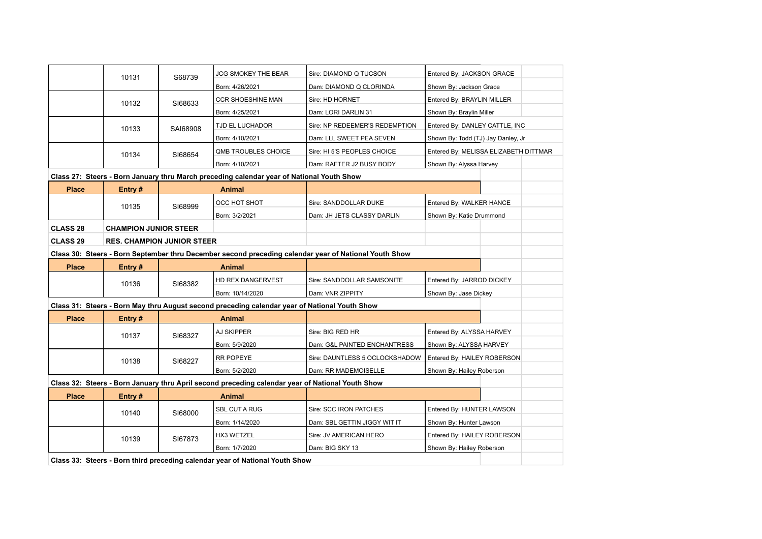|                                                                                                       | 10131<br>S68739                   |          | JCG SMOKEY THE BEAR                                                                              | Sire: DIAMOND Q TUCSON         | Entered By: JACKSON GRACE             |  |  |  |
|-------------------------------------------------------------------------------------------------------|-----------------------------------|----------|--------------------------------------------------------------------------------------------------|--------------------------------|---------------------------------------|--|--|--|
|                                                                                                       |                                   |          | Born: 4/26/2021                                                                                  | Dam: DIAMOND Q CLORINDA        | Shown By: Jackson Grace               |  |  |  |
|                                                                                                       | 10132                             | SI68633  | <b>CCR SHOESHINE MAN</b>                                                                         | Sire: HD HORNET                | Entered By: BRAYLIN MILLER            |  |  |  |
|                                                                                                       |                                   |          | Born: 4/25/2021                                                                                  | Dam: LORI DARLIN 31            | Shown By: Braylin Miller              |  |  |  |
|                                                                                                       | 10133                             | SAI68908 | TJD EL LUCHADOR                                                                                  | Sire: NP REDEEMER'S REDEMPTION | Entered By: DANLEY CATTLE, INC        |  |  |  |
|                                                                                                       |                                   |          | Born: 4/10/2021                                                                                  | Dam: LLL SWEET PEA SEVEN       | Shown By: Todd (TJ) Jay Danley, Jr    |  |  |  |
|                                                                                                       | 10134                             | SI68654  | <b>QMB TROUBLES CHOICE</b>                                                                       | Sire: HI 5'S PEOPLES CHOICE    | Entered By: MELISSA ELIZABETH DITTMAR |  |  |  |
|                                                                                                       |                                   |          | Born: 4/10/2021                                                                                  | Dam: RAFTER J2 BUSY BODY       | Shown By: Alyssa Harvey               |  |  |  |
|                                                                                                       |                                   |          | Class 27: Steers - Born January thru March preceding calendar year of National Youth Show        |                                |                                       |  |  |  |
| <b>Place</b>                                                                                          | Entry#                            |          | <b>Animal</b>                                                                                    |                                |                                       |  |  |  |
|                                                                                                       | 10135                             | SI68999  | OCC HOT SHOT                                                                                     | Sire: SANDDOLLAR DUKE          | Entered By: WALKER HANCE              |  |  |  |
|                                                                                                       |                                   |          | Born: 3/2/2021                                                                                   | Dam: JH JETS CLASSY DARLIN     | Shown By: Katie Drummond              |  |  |  |
| <b>CLASS 28</b>                                                                                       | <b>CHAMPION JUNIOR STEER</b>      |          |                                                                                                  |                                |                                       |  |  |  |
| <b>CLASS 29</b>                                                                                       | <b>RES. CHAMPION JUNIOR STEER</b> |          |                                                                                                  |                                |                                       |  |  |  |
| Class 30: Steers - Born September thru December second preceding calendar year of National Youth Show |                                   |          |                                                                                                  |                                |                                       |  |  |  |
| <b>Place</b>                                                                                          | Entry#                            |          | <b>Animal</b>                                                                                    |                                |                                       |  |  |  |
|                                                                                                       | 10136                             | SI68382  | HD REX DANGERVEST                                                                                | Sire: SANDDOLLAR SAMSONITE     | Entered By: JARROD DICKEY             |  |  |  |
|                                                                                                       |                                   |          | Born: 10/14/2020                                                                                 | Dam: VNR ZIPPITY               | Shown By: Jase Dickey                 |  |  |  |
|                                                                                                       |                                   |          | Class 31: Steers - Born May thru August second preceding calendar year of National Youth Show    |                                |                                       |  |  |  |
| <b>Place</b>                                                                                          | Entry#                            |          | Animal                                                                                           |                                |                                       |  |  |  |
|                                                                                                       | 10137                             | SI68327  | AJ SKIPPER                                                                                       | Sire: BIG RED HR               | Entered By: ALYSSA HARVEY             |  |  |  |
|                                                                                                       |                                   |          | Born: 5/9/2020                                                                                   | Dam: G&L PAINTED ENCHANTRESS   | Shown By: ALYSSA HARVEY               |  |  |  |
|                                                                                                       | 10138                             | SI68227  | <b>RR POPEYE</b>                                                                                 | Sire: DAUNTLESS 5 OCLOCKSHADOW | Entered By: HAILEY ROBERSON           |  |  |  |
|                                                                                                       |                                   |          | Born: 5/2/2020                                                                                   | Dam: RR MADEMOISELLE           | Shown By: Hailey Roberson             |  |  |  |
|                                                                                                       |                                   |          | Class 32: Steers - Born January thru April second preceding calendar year of National Youth Show |                                |                                       |  |  |  |
| <b>Place</b>                                                                                          | Entry#                            |          | <b>Animal</b>                                                                                    |                                |                                       |  |  |  |
|                                                                                                       | 10140                             | SI68000  | <b>SBL CUT A RUG</b>                                                                             | Sire: SCC IRON PATCHES         | Entered By: HUNTER LAWSON             |  |  |  |
|                                                                                                       |                                   |          | Born: 1/14/2020                                                                                  | Dam: SBL GETTIN JIGGY WIT IT   | Shown By: Hunter Lawson               |  |  |  |
|                                                                                                       | 10139                             | SI67873  | HX3 WETZEL                                                                                       | Sire: JV AMERICAN HERO         | Entered By: HAILEY ROBERSON           |  |  |  |
|                                                                                                       |                                   |          | Born: 1/7/2020                                                                                   | Dam: BIG SKY 13                | Shown By: Hailey Roberson             |  |  |  |
|                                                                                                       |                                   |          | Class 33: Steers - Born third preceding calendar year of National Youth Show                     |                                |                                       |  |  |  |